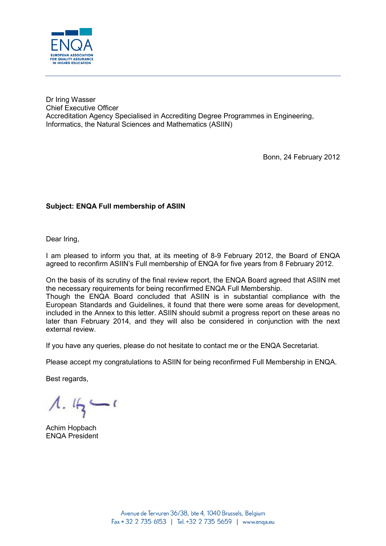

Dr Iring Wasser Chief Executive Officer Accreditation Agency Specialised in Accrediting Degree Programmes in Engineering, Informatics, the Natural Sciences and Mathematics (ASIIN)

Bonn, 24 February 2012

## **Subject: ENQA Full membership of ASIIN**

Dear Iring,

I am pleased to inform you that, at its meeting of 8-9 February 2012, the Board of ENQA agreed to reconfirm ASIIN's Full membership of ENQA for five years from 8 February 2012.

On the basis of its scrutiny of the final review report, the ENQA Board agreed that ASIIN met the necessary requirements for being reconfirmed ENQA Full Membership. Though the ENQA Board concluded that ASIIN is in substantial compliance with the European Standards and Guidelines, it found that there were some areas for development, included in the Annex to this letter. ASIIN should submit a progress report on these areas no later than February 2014, and they will also be considered in conjunction with the next external review.

If you have any queries, please do not hesitate to contact me or the ENQA Secretariat.

Please accept my congratulations to ASIIN for being reconfirmed Full Membership in ENQA.

Best regards,

 $1.45 - 1$ 

Achim Hopbach ENQA President